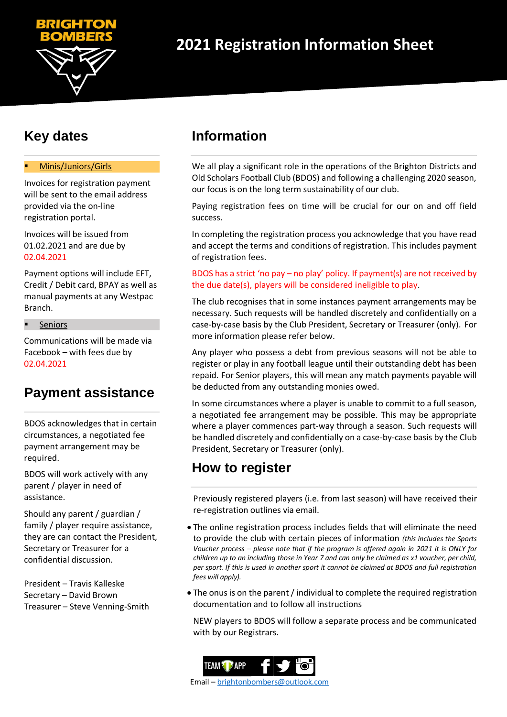

# **Key dates**

## Minis/Juniors/Girls

Invoices for registration payment will be sent to the email address provided via the on-line registration portal.

Invoices will be issued from 01.02.2021 and are due by 02.04.2021

Payment options will include EFT, Credit / Debit card, BPAY as well as manual payments at any Westpac Branch.

Seniors

Communications will be made via Facebook – with fees due by 02.04.2021

# **Payment assistance**

BDOS acknowledges that in certain circumstances, a negotiated fee payment arrangement may be required.

BDOS will work actively with any parent / player in need of assistance.

Should any parent / guardian / family / player require assistance, they are can contact the President, Secretary or Treasurer for a confidential discussion.

President – Travis Kalleske Secretary – David Brown Treasurer – Steve Venning-Smith

# **Information**

We all play a significant role in the operations of the Brighton Districts and Old Scholars Football Club (BDOS) and following a challenging 2020 season, our focus is on the long term sustainability of our club.

Paying registration fees on time will be crucial for our on and off field success.

In completing the registration process you acknowledge that you have read and accept the terms and conditions of registration. This includes payment of registration fees.

## BDOS has a strict 'no pay – no play' policy. If payment(s) are not received by the due date(s), players will be considered ineligible to play.

The club recognises that in some instances payment arrangements may be necessary. Such requests will be handled discretely and confidentially on a case-by-case basis by the Club President, Secretary or Treasurer (only). For more information please refer below.

Any player who possess a debt from previous seasons will not be able to register or play in any football league until their outstanding debt has been repaid. For Senior players, this will mean any match payments payable will be deducted from any outstanding monies owed.

In some circumstances where a player is unable to commit to a full season, a negotiated fee arrangement may be possible. This may be appropriate where a player commences part-way through a season. Such requests will be handled discretely and confidentially on a case-by-case basis by the Club President, Secretary or Treasurer (only).

# **How to register**

Previously registered players (i.e. from last season) will have received their re-registration outlines via email.

- The online registration process includes fields that will eliminate the need to provide the club with certain pieces of information *(this includes the Sports Voucher process – please note that if the program is offered again in 2021 it is ONLY for children up to an including those in Year 7 and can only be claimed as x1 voucher, per child, per sport. If this is used in another sport it cannot be claimed at BDOS and full registration fees will apply).*
- The onus is on the parent / individual to complete the required registration documentation and to follow all instructions

NEW players to BDOS will follow a separate process and be communicated with by our Registrars.